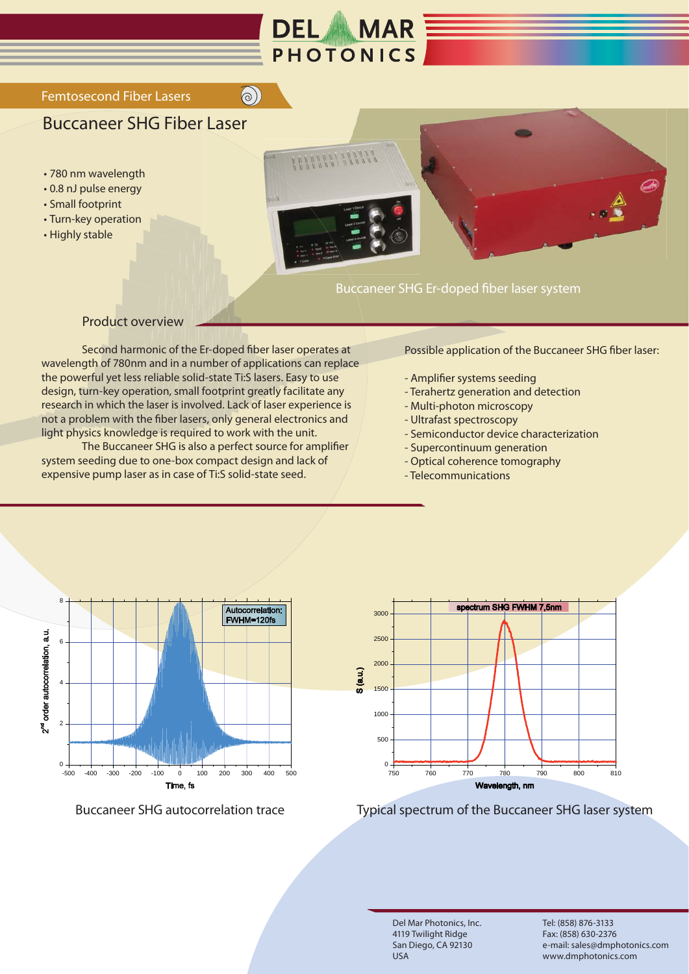

 $\bigcirc$ 

## Femtosecond Fiber Lasers

## Buccaneer SHG Fiber Laser

- 780 nm wavelength
- 0.8 nJ pulse energy
- Small footprint • Turn-key operation
- Highly stable





## Buccaneer SHG Er-doped fiber laser system

## Product overview

 Second harmonic of the Er-doped fiber laser operates at wavelength of 780nm and in a number of applications can replace the powerful yet less reliable solid-state Ti:S lasers. Easy to use design, turn-key operation, small footprint greatly facilitate any research in which the laser is involved. Lack of laser experience is not a problem with the fiber lasers, only general electronics and light physics knowledge is required to work with the unit.

 The Buccaneer SHG is also a perfect source for amplifier system seeding due to one-box compact design and lack of expensive pump laser as in case of Ti:S solid-state seed.

Possible application of the Buccaneer SHG fiber laser:

- Amplifier systems seeding
- Terahertz generation and detection
- Multi-photon microscopy
- Ultrafast spectroscopy
- Semiconductor device characterization
- Supercontinuum generation
- Optical coherence tomography
- Telecommunications



Buccaneer SHG autocorrelation trace



Typical spectrum of the Buccaneer SHG laser system

Del Mar Photonics, Inc. 4119 Twilight Ridge San Diego, CA 92130 USA

Tel: (858) 876-3133 Fax: (858) 630-2376 e-mail: sales@dmphotonics.com www.dmphotonics.com